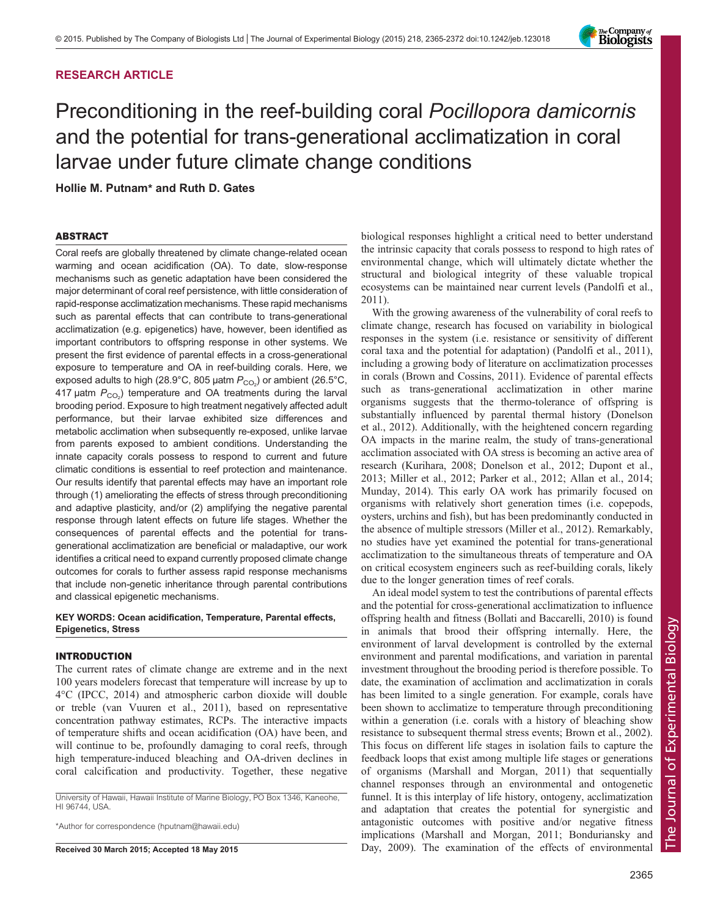# RESEARCH ARTICLE

# Preconditioning in the reef-building coral Pocillopora damicornis and the potential for trans-generational acclimatization in coral larvae under future climate change conditions

Hollie M. Putnam\* and Ruth D. Gates

# ABSTRACT

Coral reefs are globally threatened by climate change-related ocean warming and ocean acidification (OA). To date, slow-response mechanisms such as genetic adaptation have been considered the major determinant of coral reef persistence, with little consideration of rapid-response acclimatization mechanisms. These rapid mechanisms such as parental effects that can contribute to trans-generational acclimatization (e.g. epigenetics) have, however, been identified as important contributors to offspring response in other systems. We present the first evidence of parental effects in a cross-generational exposure to temperature and OA in reef-building corals. Here, we exposed adults to high (28.9°C, 805 µatm  $P_{\rm CO_2}$ ) or ambient (26.5°C, 417  $\mu$ atm  $P_{\text{CO}_2}$ ) temperature and OA treatments during the larval brooding period. Exposure to high treatment negatively affected adult performance, but their larvae exhibited size differences and metabolic acclimation when subsequently re-exposed, unlike larvae from parents exposed to ambient conditions. Understanding the innate capacity corals possess to respond to current and future climatic conditions is essential to reef protection and maintenance. Our results identify that parental effects may have an important role through (1) ameliorating the effects of stress through preconditioning and adaptive plasticity, and/or (2) amplifying the negative parental response through latent effects on future life stages. Whether the consequences of parental effects and the potential for transgenerational acclimatization are beneficial or maladaptive, our work identifies a critical need to expand currently proposed climate change outcomes for corals to further assess rapid response mechanisms that include non-genetic inheritance through parental contributions and classical epigenetic mechanisms.

# KEY WORDS: Ocean acidification, Temperature, Parental effects, Epigenetics, Stress

## INTRODUCTION

The current rates of climate change are extreme and in the next 100 years modelers forecast that temperature will increase by up to 4°C [\(IPCC, 2014](#page-7-0)) and atmospheric carbon dioxide will double or treble ([van Vuuren et al., 2011](#page-7-0)), based on representative concentration pathway estimates, RCPs. The interactive impacts of temperature shifts and ocean acidification (OA) have been, and will continue to be, profoundly damaging to coral reefs, through high temperature-induced bleaching and OA-driven declines in coral calcification and productivity. Together, these negative

University of Hawaii, Hawaii Institute of Marine Biology, PO Box 1346, Kaneohe, HI 96744, USA.

\*Author for correspondence [\(hputnam@hawaii.edu\)](mailto:hputnam@hawaii.edu)

biological responses highlight a critical need to better understand the intrinsic capacity that corals possess to respond to high rates of environmental change, which will ultimately dictate whether the structural and biological integrity of these valuable tropical ecosystems can be maintained near current levels ([Pandolfi et al.,](#page-7-0) [2011\)](#page-7-0).

With the growing awareness of the vulnerability of coral reefs to climate change, research has focused on variability in biological responses in the system (i.e. resistance or sensitivity of different coral taxa and the potential for adaptation) ([Pandolfi et al., 2011\)](#page-7-0), including a growing body of literature on acclimatization processes in corals [\(Brown and Cossins, 2011\)](#page-6-0). Evidence of parental effects such as trans-generational acclimatization in other marine organisms suggests that the thermo-tolerance of offspring is substantially influenced by parental thermal history ([Donelson](#page-6-0) [et al., 2012](#page-6-0)). Additionally, with the heightened concern regarding OA impacts in the marine realm, the study of trans-generational acclimation associated with OA stress is becoming an active area of research [\(Kurihara, 2008;](#page-7-0) [Donelson et al., 2012](#page-6-0); [Dupont et al.,](#page-6-0) [2013;](#page-6-0) [Miller et al., 2012](#page-7-0); [Parker et al., 2012](#page-7-0); [Allan et al., 2014](#page-6-0); [Munday, 2014](#page-7-0)). This early OA work has primarily focused on organisms with relatively short generation times (i.e. copepods, oysters, urchins and fish), but has been predominantly conducted in the absence of multiple stressors ([Miller et al., 2012\)](#page-7-0). Remarkably, no studies have yet examined the potential for trans-generational acclimatization to the simultaneous threats of temperature and OA on critical ecosystem engineers such as reef-building corals, likely due to the longer generation times of reef corals.

An ideal model system to test the contributions of parental effects and the potential for cross-generational acclimatization to influence offspring health and fitness [\(Bollati and Baccarelli, 2010](#page-6-0)) is found in animals that brood their offspring internally. Here, the environment of larval development is controlled by the external environment and parental modifications, and variation in parental investment throughout the brooding period is therefore possible. To date, the examination of acclimation and acclimatization in corals has been limited to a single generation. For example, corals have been shown to acclimatize to temperature through preconditioning within a generation (i.e. corals with a history of bleaching show resistance to subsequent thermal stress events; [Brown et al., 2002\)](#page-6-0). This focus on different life stages in isolation fails to capture the feedback loops that exist among multiple life stages or generations of organisms [\(Marshall and Morgan, 2011\)](#page-7-0) that sequentially channel responses through an environmental and ontogenetic funnel. It is this interplay of life history, ontogeny, acclimatization and adaptation that creates the potential for synergistic and antagonistic outcomes with positive and/or negative fitness implications [\(Marshall and Morgan, 2011](#page-7-0); [Bonduriansky and](#page-6-0) Received 30 March 2015; Accepted 18 May 2015 [Day, 2009](#page-6-0)). The examination of the effects of environmental

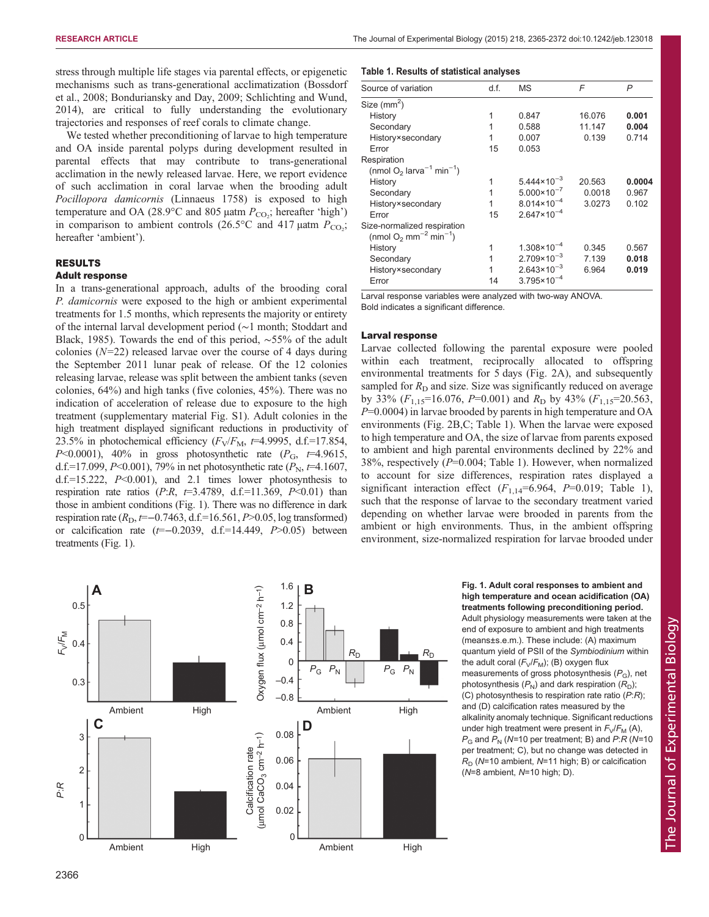<span id="page-1-0"></span>stress through multiple life stages via parental effects, or epigenetic mechanisms such as trans-generational acclimatization ([Bossdorf](#page-6-0) [et al., 2008; Bonduriansky and Day, 2009](#page-6-0); [Schlichting and Wund,](#page-7-0) [2014](#page-7-0)), are critical to fully understanding the evolutionary trajectories and responses of reef corals to climate change.

We tested whether preconditioning of larvae to high temperature and OA inside parental polyps during development resulted in parental effects that may contribute to trans-generational acclimation in the newly released larvae. Here, we report evidence of such acclimation in coral larvae when the brooding adult Pocillopora damicornis (Linnaeus 1758) is exposed to high temperature and OA (28.9°C and 805  $\mu$ atm  $P_{CO_2}$ ; hereafter 'high') in comparison to ambient controls (26.5°C and 417 µatm  $P_{CO_2}$ ; hereafter 'ambient').

## RESULTS

## Adult response

In a trans-generational approach, adults of the brooding coral P. damicornis were exposed to the high or ambient experimental treatments for 1.5 months, which represents the majority or entirety of the internal larval development period (∼1 month; [Stoddart and](#page-7-0) [Black, 1985\)](#page-7-0). Towards the end of this period, ∼55% of the adult colonies  $(N=22)$  released larvae over the course of 4 days during the September 2011 lunar peak of release. Of the 12 colonies releasing larvae, release was split between the ambient tanks (seven colonies, 64%) and high tanks (five colonies, 45%). There was no indication of acceleration of release due to exposure to the high treatment ([supplementary material Fig. S1](http://jeb.biologists.org/lookup/suppl/doi:10.1242/jeb.123018/-/DC1)). Adult colonies in the high treatment displayed significant reductions in productivity of 23.5% in photochemical efficiency ( $F_{\rm V}/F_{\rm M}$ , t=4.9995, d.f.=17.854, P<0.0001), 40% in gross photosynthetic rate  $(P_G, t=4.9615,$ d.f.=17.099, P<0.001), 79% in net photosynthetic rate  $(P<sub>N</sub>, t=4.1607,$ d.f.=15.222,  $P<0.001$ ), and 2.1 times lower photosynthesis to respiration rate ratios (P:R,  $t=3.4789$ , d.f.=11.369, P<0.01) than those in ambient conditions (Fig. 1). There was no difference in dark respiration rate  $(R_D, t=-0.7463, d.f.=16.561, P>0.05, \log$  transformed) or calcification rate  $(t=-0.2039, d.f.=14.449, P>0.05)$  between treatments (Fig. 1).



| Source of variation                                | d.f. | <b>MS</b>              | F      | P      |  |
|----------------------------------------------------|------|------------------------|--------|--------|--|
| Size (mm <sup>2</sup> )                            |      |                        |        |        |  |
| History                                            |      | 0.847                  | 16.076 | 0.001  |  |
| Secondary                                          |      | 0.588                  | 11.147 | 0.004  |  |
| History×secondary                                  |      | 0.007                  | 0.139  | 0.714  |  |
| Error                                              | 15   | 0.053                  |        |        |  |
| Respiration                                        |      |                        |        |        |  |
| (nmol $O2$ larva <sup>-1</sup> min <sup>-1</sup> ) |      |                        |        |        |  |
| History                                            | 1    | $5.444 \times 10^{-3}$ | 20.563 | 0.0004 |  |
| Secondary                                          | 1    | $5.000 \times 10^{-7}$ | 0.0018 | 0.967  |  |
| History×secondary                                  | 1    | $8.014 \times 10^{-4}$ | 3.0273 | 0.102  |  |
| Error                                              | 15   | $2.647 \times 10^{-4}$ |        |        |  |
| Size-normalized respiration                        |      |                        |        |        |  |
| (nmol $O_2$ mm <sup>-2</sup> min <sup>-1</sup> )   |      |                        |        |        |  |
| History                                            | 1    | $1.308 \times 10^{-4}$ | 0.345  | 0.567  |  |
| Secondary                                          | 1    | $2.709 \times 10^{-3}$ | 7.139  | 0.018  |  |
| History×secondary                                  | 1    | $2.643 \times 10^{-3}$ | 6.964  | 0.019  |  |
| Error                                              | 14   | $3.795 \times 10^{-4}$ |        |        |  |
|                                                    |      |                        |        |        |  |

Larval response variables were analyzed with two-way ANOVA.

Bold indicates a significant difference.

## Larval response

Larvae collected following the parental exposure were pooled within each treatment, reciprocally allocated to offspring environmental treatments for 5 days ([Fig. 2](#page-2-0)A), and subsequently sampled for  $R_D$  and size. Size was significantly reduced on average by 33% ( $F_{1,15}$ =16.076, P=0.001) and  $R_D$  by 43% ( $F_{1,15}$ =20.563,  $P=0.0004$ ) in larvae brooded by parents in high temperature and OA environments ([Fig. 2](#page-2-0)B,C; Table 1). When the larvae were exposed to high temperature and OA, the size of larvae from parents exposed to ambient and high parental environments declined by 22% and 38%, respectively  $(P=0.004;$  Table 1). However, when normalized to account for size differences, respiration rates displayed a significant interaction effect  $(F_{1,14}=6.964, P=0.019;$  Table 1), such that the response of larvae to the secondary treatment varied depending on whether larvae were brooded in parents from the ambient or high environments. Thus, in the ambient offspring environment, size-normalized respiration for larvae brooded under



Fig. 1. Adult coral responses to ambient and high temperature and ocean acidification (OA) treatments following preconditioning period. Adult physiology measurements were taken at the end of exposure to ambient and high treatments (means±s.e.m.). These include: (A) maximum quantum yield of PSII of the Symbiodinium within the adult coral  $(F_v/F_M)$ ; (B) oxygen flux measurements of gross photosynthesis  $(P_G)$ , net photosynthesis  $(P_N)$  and dark respiration  $(R_D)$ ; (C) photosynthesis to respiration rate ratio  $(P:R)$ ; and (D) calcification rates measured by the alkalinity anomaly technique. Significant reductions under high treatment were present in  $F_{\nu}/F_{\rm M}$  (A),  $P_G$  and  $P_N$  (N=10 per treatment; B) and P:R (N=10 per treatment; C), but no change was detected in  $R_D$  (N=10 ambient, N=11 high; B) or calcification (N=8 ambient, N=10 high; D).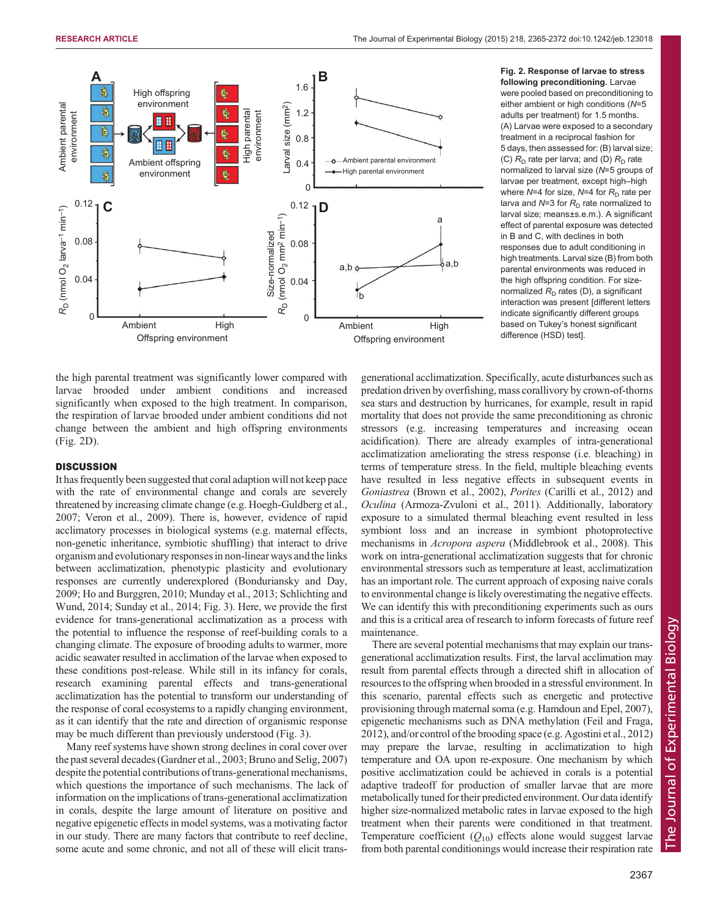<span id="page-2-0"></span>

Fig. 2. Response of larvae to stress following preconditioning. Larvae were pooled based on preconditioning to either ambient or high conditions (N=5 adults per treatment) for 1.5 months. (A) Larvae were exposed to a secondary treatment in a reciprocal fashion for 5 days, then assessed for: (B) larval size; (C)  $R_D$  rate per larva; and (D)  $R_D$  rate normalized to larval size (N=5 groups of larvae per treatment, except high–high where  $N=4$  for size,  $N=4$  for  $R_D$  rate per larva and  $N=3$  for  $R_D$  rate normalized to larval size; means±s.e.m.). A significant effect of parental exposure was detected in B and C, with declines in both responses due to adult conditioning in high treatments. Larval size (B) from both parental environments was reduced in the high offspring condition. For sizenormalized  $R_D$  rates (D), a significant interaction was present [different letters indicate significantly different groups based on Tukey's honest significant difference (HSD) test].

the high parental treatment was significantly lower compared with larvae brooded under ambient conditions and increased significantly when exposed to the high treatment. In comparison, the respiration of larvae brooded under ambient conditions did not change between the ambient and high offspring environments (Fig. 2D).

## **DISCUSSION**

It has frequently been suggested that coral adaption will not keep pace with the rate of environmental change and corals are severely threatened by increasing climate change (e.g. [Hoegh-Guldberg et al.,](#page-7-0) [2007; Veron et al., 2009\)](#page-7-0). There is, however, evidence of rapid acclimatory processes in biological systems (e.g. maternal effects, non-genetic inheritance, symbiotic shuffling) that interact to drive organism and evolutionary responses in non-linear ways and the links between acclimatization, phenotypic plasticity and evolutionary responses are currently underexplored ([Bonduriansky and Day,](#page-6-0) [2009; Ho and Burggren, 2010;](#page-6-0) [Munday et al., 2013](#page-7-0); [Schlichting and](#page-7-0) [Wund, 2014; Sunday et al., 2014](#page-7-0); [Fig. 3\)](#page-3-0). Here, we provide the first evidence for trans-generational acclimatization as a process with the potential to influence the response of reef-building corals to a changing climate. The exposure of brooding adults to warmer, more acidic seawater resulted in acclimation of the larvae when exposed to these conditions post-release. While still in its infancy for corals, research examining parental effects and trans-generational acclimatization has the potential to transform our understanding of the response of coral ecosystems to a rapidly changing environment, as it can identify that the rate and direction of organismic response may be much different than previously understood ([Fig. 3\)](#page-3-0).

Many reef systems have shown strong declines in coral cover over the past several decades ([Gardner et al., 2003;](#page-6-0) Bruno and Selig, 2007) despite the potential contributions of trans-generational mechanisms, which questions the importance of such mechanisms. The lack of information on the implications of trans-generational acclimatization in corals, despite the large amount of literature on positive and negative epigenetic effects in model systems, was a motivating factor in our study. There are many factors that contribute to reef decline, some acute and some chronic, and not all of these will elicit trans-

generational acclimatization. Specifically, acute disturbances such as predation driven by overfishing, mass corallivory by crown-of-thorns sea stars and destruction by hurricanes, for example, result in rapid mortality that does not provide the same preconditioning as chronic stressors (e.g. increasing temperatures and increasing ocean acidification). There are already examples of intra-generational acclimatization ameliorating the stress response (i.e. bleaching) in terms of temperature stress. In the field, multiple bleaching events have resulted in less negative effects in subsequent events in Goniastrea [\(Brown et al., 2002\)](#page-6-0), Porites ([Carilli et al., 2012](#page-6-0)) and Oculina ([Armoza-Zvuloni et al., 2011\)](#page-6-0). Additionally, laboratory exposure to a simulated thermal bleaching event resulted in less symbiont loss and an increase in symbiont photoprotective mechanisms in Acropora aspera ([Middlebrook et al., 2008\)](#page-7-0). This work on intra-generational acclimatization suggests that for chronic environmental stressors such as temperature at least, acclimatization has an important role. The current approach of exposing naive corals to environmental change is likely overestimating the negative effects. We can identify this with preconditioning experiments such as ours and this is a critical area of research to inform forecasts of future reef maintenance.

There are several potential mechanisms that may explain our transgenerational acclimatization results. First, the larval acclimation may result from parental effects through a directed shift in allocation of resources to the offspring when brooded in a stressful environment. In this scenario, parental effects such as energetic and protective provisioning through maternal soma (e.g. [Hamdoun and Epel, 2007\)](#page-6-0), epigenetic mechanisms such as DNA methylation ([Feil and Fraga,](#page-6-0) [2012\)](#page-6-0), and/or control of the brooding space (e.g. [Agostini et al., 2012\)](#page-6-0) may prepare the larvae, resulting in acclimatization to high temperature and OA upon re-exposure. One mechanism by which positive acclimatization could be achieved in corals is a potential adaptive tradeoff for production of smaller larvae that are more metabolically tuned for their predicted environment. Our data identify higher size-normalized metabolic rates in larvae exposed to the high treatment when their parents were conditioned in that treatment. Temperature coefficient  $(Q_{10})$  effects alone would suggest larvae from both parental conditionings would increase their respiration rate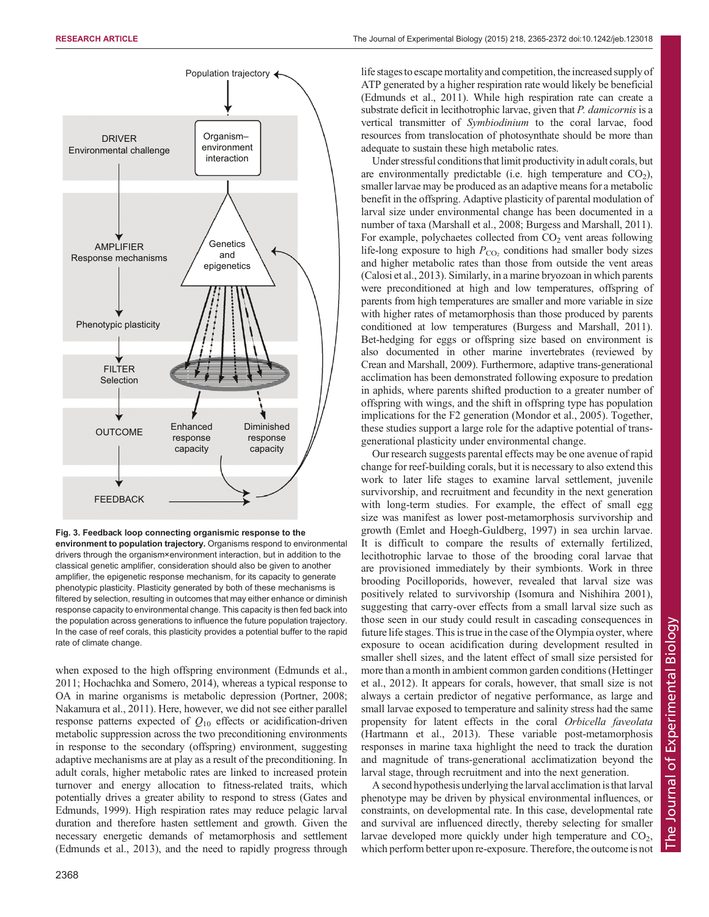<span id="page-3-0"></span>

Fig. 3. Feedback loop connecting organismic response to the environment to population trajectory. Organisms respond to environmental drivers through the organism×environment interaction, but in addition to the classical genetic amplifier, consideration should also be given to another amplifier, the epigenetic response mechanism, for its capacity to generate phenotypic plasticity. Plasticity generated by both of these mechanisms is filtered by selection, resulting in outcomes that may either enhance or diminish response capacity to environmental change. This capacity is then fed back into the population across generations to influence the future population trajectory. In the case of reef corals, this plasticity provides a potential buffer to the rapid rate of climate change.

when exposed to the high offspring environment [\(Edmunds et al.,](#page-6-0) [2011;](#page-6-0) [Hochachka and Somero, 2014](#page-7-0)), whereas a typical response to OA in marine organisms is metabolic depression [\(Portner, 2008](#page-7-0); [Nakamura et al., 2011](#page-7-0)). Here, however, we did not see either parallel response patterns expected of  $Q_{10}$  effects or acidification-driven metabolic suppression across the two preconditioning environments in response to the secondary (offspring) environment, suggesting adaptive mechanisms are at play as a result of the preconditioning. In adult corals, higher metabolic rates are linked to increased protein turnover and energy allocation to fitness-related traits, which potentially drives a greater ability to respond to stress [\(Gates and](#page-6-0) [Edmunds, 1999\)](#page-6-0). High respiration rates may reduce pelagic larval duration and therefore hasten settlement and growth. Given the necessary energetic demands of metamorphosis and settlement [\(Edmunds et al., 2013\)](#page-6-0), and the need to rapidly progress through life stagesto escape mortality and competition, the increased supply of ATP generated by a higher respiration rate would likely be beneficial [\(Edmunds et al., 2011](#page-6-0)). While high respiration rate can create a substrate deficit in lecithotrophic larvae, given that *P. damicornis* is a vertical transmitter of Symbiodinium to the coral larvae, food resources from translocation of photosynthate should be more than adequate to sustain these high metabolic rates.

Under stressful conditionsthat limit productivity in adult corals, but are environmentally predictable (i.e. high temperature and  $CO<sub>2</sub>$ ), smaller larvae may be produced as an adaptive means for a metabolic benefit in the offspring. Adaptive plasticity of parental modulation of larval size under environmental change has been documented in a number of taxa [\(Marshall et al., 2008;](#page-7-0) [Burgess and Marshall, 2011\)](#page-6-0). For example, polychaetes collected from  $CO<sub>2</sub>$  vent areas following life-long exposure to high  $P_{CO_2}$  conditions had smaller body sizes and higher metabolic rates than those from outside the vent areas [\(Calosi et al., 2013](#page-6-0)). Similarly, in a marine bryozoan in which parents were preconditioned at high and low temperatures, offspring of parents from high temperatures are smaller and more variable in size with higher rates of metamorphosis than those produced by parents conditioned at low temperatures [\(Burgess and Marshall, 2011\)](#page-6-0). Bet-hedging for eggs or offspring size based on environment is also documented in other marine invertebrates (reviewed by [Crean and Marshall, 2009\)](#page-6-0). Furthermore, adaptive trans-generational acclimation has been demonstrated following exposure to predation in aphids, where parents shifted production to a greater number of offspring with wings, and the shift in offspring type has population implications for the F2 generation [\(Mondor et al., 2005\)](#page-7-0). Together, these studies support a large role for the adaptive potential of transgenerational plasticity under environmental change.

Our research suggests parental effects may be one avenue of rapid change for reef-building corals, but it is necessary to also extend this work to later life stages to examine larval settlement, juvenile survivorship, and recruitment and fecundity in the next generation with long-term studies. For example, the effect of small egg size was manifest as lower post-metamorphosis survivorship and growth [\(Emlet and Hoegh-Guldberg, 1997\)](#page-6-0) in sea urchin larvae. It is difficult to compare the results of externally fertilized, lecithotrophic larvae to those of the brooding coral larvae that are provisioned immediately by their symbionts. Work in three brooding Pocilloporids, however, revealed that larval size was positively related to survivorship ([Isomura](#page-7-0) and [Nishihira 2001\)](#page-7-0), suggesting that carry-over effects from a small larval size such as those seen in our study could result in cascading consequences in future life stages. This is true in the case of the Olympia oyster, where exposure to ocean acidification during development resulted in smaller shell sizes, and the latent effect of small size persisted for more than a month in ambient common garden conditions [\(Hettinger](#page-6-0) [et al., 2012\)](#page-6-0). It appears for corals, however, that small size is not always a certain predictor of negative performance, as large and small larvae exposed to temperature and salinity stress had the same propensity for latent effects in the coral Orbicella faveolata [\(Hartmann et al., 2013\)](#page-6-0). These variable post-metamorphosis responses in marine taxa highlight the need to track the duration and magnitude of trans-generational acclimatization beyond the larval stage, through recruitment and into the next generation.

A second hypothesis underlying the larval acclimation isthat larval phenotype may be driven by physical environmental influences, or constraints, on developmental rate. In this case, developmental rate and survival are influenced directly, thereby selecting for smaller larvae developed more quickly under high temperature and  $CO<sub>2</sub>$ , which perform better upon re-exposure. Therefore, the outcome is not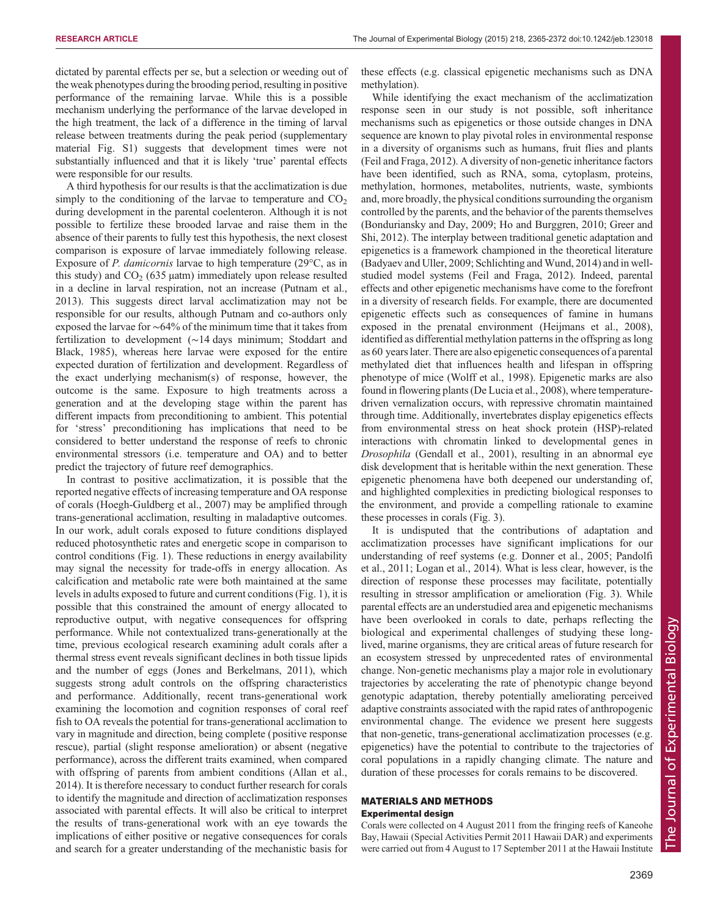dictated by parental effects per se, but a selection or weeding out of the weak phenotypes during the brooding period, resulting in positive performance of the remaining larvae. While this is a possible mechanism underlying the performance of the larvae developed in the high treatment, the lack of a difference in the timing of larval release between treatments during the peak period [\(supplementary](http://jeb.biologists.org/lookup/suppl/doi:10.1242/jeb.123018/-/DC1) [material Fig. S1\)](http://jeb.biologists.org/lookup/suppl/doi:10.1242/jeb.123018/-/DC1) suggests that development times were not substantially influenced and that it is likely 'true' parental effects were responsible for our results.

A third hypothesis for our results is that the acclimatization is due simply to the conditioning of the larvae to temperature and  $CO<sub>2</sub>$ during development in the parental coelenteron. Although it is not possible to fertilize these brooded larvae and raise them in the absence of their parents to fully test this hypothesis, the next closest comparison is exposure of larvae immediately following release. Exposure of P. damicornis larvae to high temperature (29°C, as in this study) and  $CO<sub>2</sub>$  (635 µatm) immediately upon release resulted in a decline in larval respiration, not an increase [\(Putnam et al.,](#page-7-0) [2013](#page-7-0)). This suggests direct larval acclimatization may not be responsible for our results, although Putnam and co-authors only exposed the larvae for ∼64% of the minimum time that it takes from fertilization to development (∼14 days minimum; [Stoddart and](#page-7-0) [Black, 1985\)](#page-7-0), whereas here larvae were exposed for the entire expected duration of fertilization and development. Regardless of the exact underlying mechanism(s) of response, however, the outcome is the same. Exposure to high treatments across a generation and at the developing stage within the parent has different impacts from preconditioning to ambient. This potential for 'stress' preconditioning has implications that need to be considered to better understand the response of reefs to chronic environmental stressors (i.e. temperature and OA) and to better predict the trajectory of future reef demographics.

In contrast to positive acclimatization, it is possible that the reported negative effects of increasing temperature and OA response of corals ([Hoegh-Guldberg et al., 2007\)](#page-7-0) may be amplified through trans-generational acclimation, resulting in maladaptive outcomes. In our work, adult corals exposed to future conditions displayed reduced photosynthetic rates and energetic scope in comparison to control conditions [\(Fig. 1\)](#page-1-0). These reductions in energy availability may signal the necessity for trade-offs in energy allocation. As calcification and metabolic rate were both maintained at the same levels in adults exposed to future and current conditions [\(Fig. 1\)](#page-1-0), it is possible that this constrained the amount of energy allocated to reproductive output, with negative consequences for offspring performance. While not contextualized trans-generationally at the time, previous ecological research examining adult corals after a thermal stress event reveals significant declines in both tissue lipids and the number of eggs ([Jones and Berkelmans, 2011\)](#page-7-0), which suggests strong adult controls on the offspring characteristics and performance. Additionally, recent trans-generational work examining the locomotion and cognition responses of coral reef fish to OA reveals the potential for trans-generational acclimation to vary in magnitude and direction, being complete ( positive response rescue), partial (slight response amelioration) or absent (negative performance), across the different traits examined, when compared with offspring of parents from ambient conditions ([Allan et al.,](#page-6-0) [2014](#page-6-0)). It is therefore necessary to conduct further research for corals to identify the magnitude and direction of acclimatization responses associated with parental effects. It will also be critical to interpret the results of trans-generational work with an eye towards the implications of either positive or negative consequences for corals and search for a greater understanding of the mechanistic basis for

these effects (e.g. classical epigenetic mechanisms such as DNA methylation).

While identifying the exact mechanism of the acclimatization response seen in our study is not possible, soft inheritance mechanisms such as epigenetics or those outside changes in DNA sequence are known to play pivotal roles in environmental response in a diversity of organisms such as humans, fruit flies and plants [\(Feil and Fraga, 2012\)](#page-6-0). A diversity of non-genetic inheritance factors have been identified, such as RNA, soma, cytoplasm, proteins, methylation, hormones, metabolites, nutrients, waste, symbionts and, more broadly, the physical conditions surrounding the organism controlled by the parents, and the behavior of the parents themselves [\(Bonduriansky and Day, 2009](#page-6-0); [Ho and Burggren, 2010; Greer and](#page-6-0) [Shi, 2012\)](#page-6-0). The interplay between traditional genetic adaptation and epigenetics is a framework championed in the theoretical literature [\(Badyaev and Uller, 2009;](#page-6-0) [Schlichting and Wund, 2014](#page-7-0)) and in wellstudied model systems [\(Feil and Fraga, 2012\)](#page-6-0). Indeed, parental effects and other epigenetic mechanisms have come to the forefront in a diversity of research fields. For example, there are documented epigenetic effects such as consequences of famine in humans exposed in the prenatal environment [\(Heijmans et al., 2008\)](#page-6-0), identified as differential methylation patterns in the offspring as long as 60 years later. There are also epigenetic consequences of a parental methylated diet that influences health and lifespan in offspring phenotype of mice [\(Wolff et al., 1998](#page-7-0)). Epigenetic marks are also found in flowering plants [\(De Lucia et al., 2008](#page-6-0)), where temperaturedriven vernalization occurs, with repressive chromatin maintained through time. Additionally, invertebrates display epigenetics effects from environmental stress on heat shock protein (HSP)-related interactions with chromatin linked to developmental genes in Drosophila ([Gendall et al., 2001](#page-6-0)), resulting in an abnormal eye disk development that is heritable within the next generation. These epigenetic phenomena have both deepened our understanding of, and highlighted complexities in predicting biological responses to the environment, and provide a compelling rationale to examine these processes in corals ([Fig. 3\)](#page-3-0).

It is undisputed that the contributions of adaptation and acclimatization processes have significant implications for our understanding of reef systems (e.g. [Donner et al., 2005](#page-6-0); [Pandolfi](#page-7-0) [et al., 2011](#page-7-0); [Logan et al., 2014](#page-7-0)). What is less clear, however, is the direction of response these processes may facilitate, potentially resulting in stressor amplification or amelioration ([Fig. 3](#page-3-0)). While parental effects are an understudied area and epigenetic mechanisms have been overlooked in corals to date, perhaps reflecting the biological and experimental challenges of studying these longlived, marine organisms, they are critical areas of future research for an ecosystem stressed by unprecedented rates of environmental change. Non-genetic mechanisms play a major role in evolutionary trajectories by accelerating the rate of phenotypic change beyond genotypic adaptation, thereby potentially ameliorating perceived adaptive constraints associated with the rapid rates of anthropogenic environmental change. The evidence we present here suggests that non-genetic, trans-generational acclimatization processes (e.g. epigenetics) have the potential to contribute to the trajectories of coral populations in a rapidly changing climate. The nature and duration of these processes for corals remains to be discovered.

## MATERIALS AND METHODS Experimental design

Corals were collected on 4 August 2011 from the fringing reefs of Kaneohe Bay, Hawaii (Special Activities Permit 2011 Hawaii DAR) and experiments were carried out from 4 August to 17 September 2011 at the Hawaii Institute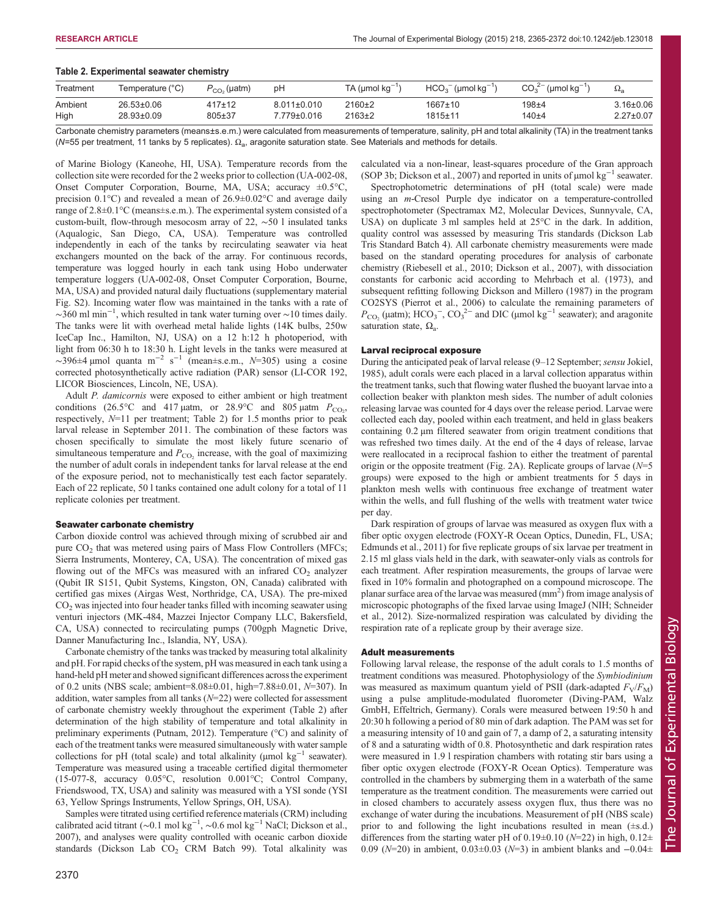#### Table 2. Experimental seawater chemistry

| Treatment | Temperature (°C) | $P_{\rm CO_2}$ (µatm) | рH                | TA (µmol kq $^{-1}$ | $HCO3-$ (µmol kg <sup>-1)</sup> | $CO32–$ (µmol kg <sup>-1</sup> ) | $\Omega_{\alpha}$ |
|-----------|------------------|-----------------------|-------------------|---------------------|---------------------------------|----------------------------------|-------------------|
| Ambient   | $26.53 \pm 0.06$ | $417 \pm 12$          | $8.011 \pm 0.010$ | $2160+2$            | 1667±10                         | $198 + 4$                        | $3.16 \pm 0.06$   |
| High      | 28.93±0.09       | 805±37                | 7.779±0.016       | $2163+2$            | 1815±11                         | $140 + 4$                        | $2.27 \pm 0.07$   |

Carbonate chemistry parameters (means±s.e.m.) were calculated from measurements of temperature, salinity, pH and total alkalinity (TA) in the treatment tanks (N=55 per treatment, 11 tanks by 5 replicates).  $\Omega_{a}$ , aragonite saturation state. See Materials and methods for details.

of Marine Biology (Kaneohe, HI, USA). Temperature records from the collection site were recorded for the 2 weeks prior to collection (UA-002-08, Onset Computer Corporation, Bourne, MA, USA; accuracy ±0.5°C, precision 0.1°C) and revealed a mean of 26.9±0.02°C and average daily range of 2.8±0.1°C (means±s.e.m.). The experimental system consisted of a custom-built, flow-through mesocosm array of 22, ∼50 l insulated tanks (Aqualogic, San Diego, CA, USA). Temperature was controlled independently in each of the tanks by recirculating seawater via heat exchangers mounted on the back of the array. For continuous records, temperature was logged hourly in each tank using Hobo underwater temperature loggers (UA-002-08, Onset Computer Corporation, Bourne, MA, USA) and provided natural daily fluctuations [\(supplementary material](http://jeb.biologists.org/lookup/suppl/doi:10.1242/jeb.123018/-/DC1) [Fig. S2](http://jeb.biologists.org/lookup/suppl/doi:10.1242/jeb.123018/-/DC1)). Incoming water flow was maintained in the tanks with a rate of  $\sim$ 360 ml min<sup>-1</sup>, which resulted in tank water turning over ~10 times daily. The tanks were lit with overhead metal halide lights (14K bulbs, 250w IceCap Inc., Hamilton, NJ, USA) on a 12 h:12 h photoperiod, with light from 06:30 h to 18:30 h. Light levels in the tanks were measured at  $\sim$ 396±4 µmol quanta m<sup>-2</sup> s<sup>-1</sup> (mean±s.e.m., N=305) using a cosine corrected photosynthetically active radiation (PAR) sensor (LI-COR 192, LICOR Biosciences, Lincoln, NE, USA).

Adult P. damicornis were exposed to either ambient or high treatment conditions (26.5°C and 417  $\mu$ atm, or 28.9°C and 805  $\mu$ atm  $P_{CO_2}$ , respectively, N=11 per treatment; Table 2) for 1.5 months prior to peak larval release in September 2011. The combination of these factors was chosen specifically to simulate the most likely future scenario of simultaneous temperature and  $P_{\text{CO}_2}$  increase, with the goal of maximizing the number of adult corals in independent tanks for larval release at the end of the exposure period, not to mechanistically test each factor separately. Each of 22 replicate, 50 l tanks contained one adult colony for a total of 11 replicate colonies per treatment.

#### Seawater carbonate chemistry

Carbon dioxide control was achieved through mixing of scrubbed air and pure CO<sub>2</sub> that was metered using pairs of Mass Flow Controllers (MFCs; Sierra Instruments, Monterey, CA, USA). The concentration of mixed gas flowing out of the MFCs was measured with an infrared  $CO<sub>2</sub>$  analyzer (Qubit IR S151, Qubit Systems, Kingston, ON, Canada) calibrated with certified gas mixes (Airgas West, Northridge, CA, USA). The pre-mixed  $CO<sub>2</sub>$  was injected into four header tanks filled with incoming seawater using venturi injectors (MK-484, Mazzei Injector Company LLC, Bakersfield, CA, USA) connected to recirculating pumps (700gph Magnetic Drive, Danner Manufacturing Inc., Islandia, NY, USA).

Carbonate chemistry of the tanks was tracked by measuring total alkalinity and pH. For rapid checks of the system, pH was measured in each tank using a hand-held pH meter and showed significant differences across the experiment of 0.2 units (NBS scale; ambient=8.08±0.01, high=7.88±0.01, N=307). In addition, water samples from all tanks  $(N=22)$  were collected for assessment of carbonate chemistry weekly throughout the experiment (Table 2) after determination of the high stability of temperature and total alkalinity in preliminary experiments [\(Putnam, 2012](#page-7-0)). Temperature (°C) and salinity of each of the treatment tanks were measured simultaneously with water sample collections for pH (total scale) and total alkalinity ( $\mu$ mol kg<sup>-1</sup> seawater). Temperature was measured using a traceable certified digital thermometer (15-077-8, accuracy 0.05°C, resolution 0.001°C; Control Company, Friendswood, TX, USA) and salinity was measured with a YSI sonde (YSI 63, Yellow Springs Instruments, Yellow Springs, OH, USA).

Samples were titrated using certified reference materials (CRM) including calibrated acid titrant (∼0.1 mol kg<sup>-1</sup>, ∼0.6 mol kg<sup>-1</sup> NaCl; [Dickson et al.,](#page-6-0) [2007\),](#page-6-0) and analyses were quality controlled with oceanic carbon dioxide standards (Dickson Lab  $CO<sub>2</sub>$  CRM Batch 99). Total alkalinity was calculated via a non-linear, least-squares procedure of the Gran approach (SOP 3b; [Dickson et al., 2007\)](#page-6-0) and reported in units of  $\mu$ mol kg<sup>-1</sup> seawater.

Spectrophotometric determinations of pH (total scale) were made using an m-Cresol Purple dye indicator on a temperature-controlled spectrophotometer (Spectramax M2, Molecular Devices, Sunnyvale, CA, USA) on duplicate 3 ml samples held at 25°C in the dark. In addition, quality control was assessed by measuring Tris standards (Dickson Lab Tris Standard Batch 4). All carbonate chemistry measurements were made based on the standard operating procedures for analysis of carbonate chemistry [\(Riebesell et al., 2010](#page-7-0); [Dickson et al., 2007\)](#page-6-0), with dissociation constants for carbonic acid according to [Mehrbach et al. \(1973\)](#page-7-0), and subsequent refitting following [Dickson and Millero \(1987\)](#page-6-0) in the program CO2SYS ([Pierrot et al., 2006](#page-7-0)) to calculate the remaining parameters of  $P_{\text{CO}_2}$  (µatm); HCO<sub>3</sub><sup>-</sup>, CO<sub>3</sub><sup>2-</sup> and DIC (µmol kg<sup>-1</sup> seawater); and aragonite saturation state,  $\Omega_a$ .

#### Larval reciprocal exposure

During the anticipated peak of larval release (9–12 September; sensu [Jokiel,](#page-7-0) [1985\)](#page-7-0), adult corals were each placed in a larval collection apparatus within the treatment tanks, such that flowing water flushed the buoyant larvae into a collection beaker with plankton mesh sides. The number of adult colonies releasing larvae was counted for 4 days over the release period. Larvae were collected each day, pooled within each treatment, and held in glass beakers containing 0.2 µm filtered seawater from origin treatment conditions that was refreshed two times daily. At the end of the 4 days of release, larvae were reallocated in a reciprocal fashion to either the treatment of parental origin or the opposite treatment [\(Fig. 2](#page-2-0)A). Replicate groups of larvae  $(N=5)$ groups) were exposed to the high or ambient treatments for 5 days in plankton mesh wells with continuous free exchange of treatment water within the wells, and full flushing of the wells with treatment water twice per day.

Dark respiration of groups of larvae was measured as oxygen flux with a fiber optic oxygen electrode (FOXY-R Ocean Optics, Dunedin, FL, USA; [Edmunds et al., 2011\)](#page-6-0) for five replicate groups of six larvae per treatment in 2.15 ml glass vials held in the dark, with seawater-only vials as controls for each treatment. After respiration measurements, the groups of larvae were fixed in 10% formalin and photographed on a compound microscope. The planar surface area of the larvae was measured  $\text{(mm)}^2$ ) from image analysis of microscopic photographs of the fixed larvae using ImageJ (NIH; [Schneider](#page-7-0) [et al., 2012\)](#page-7-0). Size-normalized respiration was calculated by dividing the respiration rate of a replicate group by their average size.

#### Adult measurements

Following larval release, the response of the adult corals to 1.5 months of treatment conditions was measured. Photophysiology of the Symbiodinium was measured as maximum quantum yield of PSII (dark-adapted  $F_V/F_M$ ) using a pulse amplitude-modulated fluorometer (Diving-PAM, Walz GmbH, Effeltrich, Germany). Corals were measured between 19:50 h and 20:30 h following a period of 80 min of dark adaption. The PAM was set for a measuring intensity of 10 and gain of 7, a damp of 2, a saturating intensity of 8 and a saturating width of 0.8. Photosynthetic and dark respiration rates were measured in 1.9 l respiration chambers with rotating stir bars using a fiber optic oxygen electrode (FOXY-R Ocean Optics). Temperature was controlled in the chambers by submerging them in a waterbath of the same temperature as the treatment condition. The measurements were carried out in closed chambers to accurately assess oxygen flux, thus there was no exchange of water during the incubations. Measurement of pH (NBS scale) prior to and following the light incubations resulted in mean (±s.d.) differences from the starting water pH of 0.19 $\pm$ 0.10 (N=22) in high, 0.12 $\pm$ 0.09 ( $N=20$ ) in ambient, 0.03±0.03 ( $N=3$ ) in ambient blanks and  $-0.04\pm$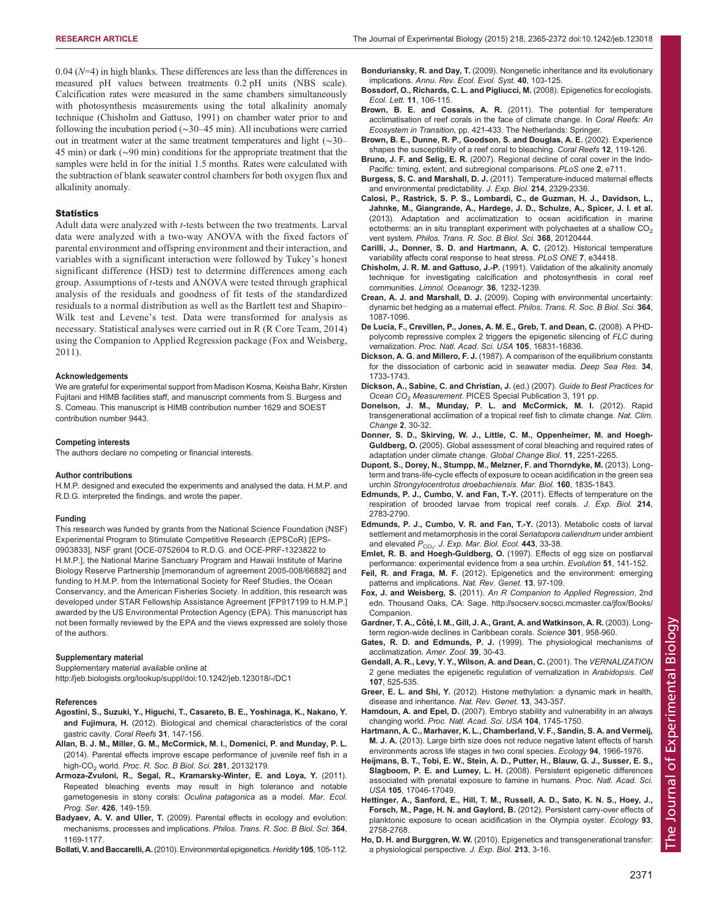<span id="page-6-0"></span> $0.04$  ( $N=4$ ) in high blanks. These differences are less than the differences in measured pH values between treatments 0.2 pH units (NBS scale). Calcification rates were measured in the same chambers simultaneously with photosynthesis measurements using the total alkalinity anomaly technique (Chisholm and Gattuso, 1991) on chamber water prior to and following the incubation period (∼30–45 min). All incubations were carried out in treatment water at the same treatment temperatures and light (∼30– 45 min) or dark (∼90 min) conditions for the appropriate treatment that the samples were held in for the initial 1.5 months. Rates were calculated with the subtraction of blank seawater control chambers for both oxygen flux and alkalinity anomaly.

#### **Statistics**

Adult data were analyzed with t-tests between the two treatments. Larval data were analyzed with a two-way ANOVA with the fixed factors of parental environment and offspring environment and their interaction, and variables with a significant interaction were followed by Tukey's honest significant difference (HSD) test to determine differences among each group. Assumptions of t-tests and ANOVA were tested through graphical analysis of the residuals and goodness of fit tests of the standardized residuals to a normal distribution as well as the Bartlett test and Shapiro– Wilk test and Levene's test. Data were transformed for analysis as necessary. Statistical analyses were carried out in R ([R Core Team,](#page-7-0) 2014) using the Companion to Applied Regression package (Fox and Weisberg, 2011).

## Acknowledgements

We are grateful for experimental support from Madison Kosma, Keisha Bahr, Kirsten Fujitani and HIMB facilities staff, and manuscript comments from S. Burgess and S. Comeau. This manuscript is HIMB contribution number 1629 and SOEST contribution number 9443.

#### Competing interests

The authors declare no competing or financial interests.

#### Author contributions

H.M.P. designed and executed the experiments and analysed the data. H.M.P. and R.D.G. interpreted the findings, and wrote the paper.

#### Funding

This research was funded by grants from the National Science Foundation (NSF) Experimental Program to Stimulate Competitive Research (EPSCoR) [EPS-0903833], NSF grant [OCE-0752604 to R.D.G. and OCE-PRF-1323822 to H.M.P.], the National Marine Sanctuary Program and Hawaii Institute of Marine Biology Reserve Partnership [memorandum of agreement 2005-008/66882] and funding to H.M.P. from the International Society for Reef Studies, the Ocean Conservancy, and the American Fisheries Society. In addition, this research was developed under STAR Fellowship Assistance Agreement [FP917199 to H.M.P.] awarded by the US Environmental Protection Agency (EPA). This manuscript has not been formally reviewed by the EPA and the views expressed are solely those of the authors.

#### Supplementary material

Supplementary material available online at <http://jeb.biologists.org/lookup/suppl/doi:10.1242/jeb.123018/-/DC1>

#### References

- [Agostini, S., Suzuki, Y., Higuchi, T., Casareto, B. E., Yoshinaga, K., Nakano, Y.](http://dx.doi.org/10.1007/s00338-011-0831-6) and Fujimura, H. [\(2012\). Biological and chemical characteristics of the coral](http://dx.doi.org/10.1007/s00338-011-0831-6) [gastric cavity.](http://dx.doi.org/10.1007/s00338-011-0831-6) Coral Reefs 31, 147-156.
- [Allan, B. J. M., Miller, G. M., McCormick, M. I., Domenici, P. and Munday, P. L.](http://dx.doi.org/10.1098/rspb.2013.2179) [\(2014\). Parental effects improve escape performance of juvenile reef fish in a](http://dx.doi.org/10.1098/rspb.2013.2179) high-CO<sub>2</sub> world. [Proc. R. Soc. B Biol. Sci.](http://dx.doi.org/10.1098/rspb.2013.2179) 281, 20132179.
- [Armoza-Zvuloni, R., Segal, R., Kramarsky-Winter, E. and Loya, Y.](http://dx.doi.org/10.3354/meps09018) (2011). [Repeated bleaching events may result in high tolerance and notable](http://dx.doi.org/10.3354/meps09018) [gametogenesis in stony corals:](http://dx.doi.org/10.3354/meps09018) Oculina patagonica as a model. Mar. Ecol. Prog. Ser. **426**[, 149-159.](http://dx.doi.org/10.3354/meps09018)
- Badyaev, A. V. and Uller, T. [\(2009\). Parental effects in ecology and evolution:](http://dx.doi.org/10.1098/rstb.2008.0302) [mechanisms, processes and implications.](http://dx.doi.org/10.1098/rstb.2008.0302) Philos. Trans. R. Soc. B Biol. Sci. 364, [1169-1177.](http://dx.doi.org/10.1098/rstb.2008.0302)
- Bollati, V. and Baccarelli, A. [\(2010\). Environmental epigenetics.](http://dx.doi.org/10.1038/hdy.2010.2) Heridity 105, 105-112.
- Bonduriansky, R. and Day, T. [\(2009\). Nongenetic inheritance and its evolutionary](http://dx.doi.org/10.1146/annurev.ecolsys.39.110707.173441) implications. Annu. Rev. Ecol. Evol. Svst. 40. 103-125.
- Bossdorf, O., Richards, C. L. and Pigliucci, M. (2008). Epigenetics for ecologists. Ecol. Lett. 11, 106-115.
- Brown, B. E. and Cossins, A. R. [\(2011\). The potential for temperature](http://dx.doi.org/10.1007/978-94-007-0114-4_24) [acclimatisation of reef corals in the face of climate change. In](http://dx.doi.org/10.1007/978-94-007-0114-4_24) Coral Reefs: An Ecosystem in Transition[, pp. 421-433. The Netherlands: Springer.](http://dx.doi.org/10.1007/978-94-007-0114-4_24)
- Brown, B. E., Dunne, R. P., Goodson, S. and Douglas, A. E. (2002). Experience shapes the susceptibility of a reef coral to bleaching. Coral Reefs 12, 119-126.
- Bruno, J. F. and Selig, E. R. [\(2007\). Regional decline of coral cover in the Indo-](http://dx.doi.org/10.1371/journal.pone.0000711)[Pacific: timing, extent, and subregional comparisons.](http://dx.doi.org/10.1371/journal.pone.0000711) PLoS one 2, e711.
- Burgess, S. C. and Marshall, D. J. [\(2011\). Temperature-induced maternal effects](http://dx.doi.org/10.1242/jeb.054718) [and environmental predictability.](http://dx.doi.org/10.1242/jeb.054718) J. Exp. Biol. 214, 2329-2336.
- [Calosi, P., Rastrick, S. P. S., Lombardi, C., de Guzman, H. J., Davidson, L.,](http://dx.doi.org/10.1098/rstb.2012.0444) [Jahnke, M., Giangrande, A., Hardege, J. D., Schulze, A., Spicer, J. I. et al.](http://dx.doi.org/10.1098/rstb.2012.0444) [\(2013\). Adaptation and acclimatization to ocean acidification in marine](http://dx.doi.org/10.1098/rstb.2012.0444) ectotherms: an in situ transplant experiment with polychaetes at a shallow  $CO<sub>2</sub>$ vent system. [Philos. Trans. R. Soc. B Biol. Sci.](http://dx.doi.org/10.1098/rstb.2012.0444) 368, 20120444.
- [Carilli, J., Donner, S. D. and Hartmann, A. C.](http://dx.doi.org/10.1371/journal.pone.0034418) (2012). Historical temperature [variability affects coral response to heat stress.](http://dx.doi.org/10.1371/journal.pone.0034418) PLoS ONE 7, e34418.
- Chisholm, J. R. M. and Gattuso, J.-P. [\(1991\). Validation of the alkalinity anomaly](http://dx.doi.org/10.4319/lo.1991.36.6.1232) [technique for investigating calcification and photosynthesis in coral reef](http://dx.doi.org/10.4319/lo.1991.36.6.1232) communities. [Limnol. Oceanogr.](http://dx.doi.org/10.4319/lo.1991.36.6.1232) 36, 1232-1239.
- Crean, A. J. and Marshall, D. J. [\(2009\). Coping with environmental uncertainty:](http://dx.doi.org/10.1098/rstb.2008.0237) [dynamic bet hedging as a maternal effect.](http://dx.doi.org/10.1098/rstb.2008.0237) Philos. Trans. R. Soc. B Biol. Sci. 364, [1087-1096.](http://dx.doi.org/10.1098/rstb.2008.0237)
- [De Lucia, F., Crevillen, P., Jones, A. M. E., Greb, T. and Dean, C.](http://dx.doi.org/10.1073/pnas.0808687105) (2008). A PHD[polycomb repressive complex 2 triggers the epigenetic silencing of](http://dx.doi.org/10.1073/pnas.0808687105) FLC during vernalization. [Proc. Natl. Acad. Sci. USA](http://dx.doi.org/10.1073/pnas.0808687105) 105, 16831-16836.
- Dickson, A. G. and Millero, F. J. [\(1987\). A comparison of the equilibrium constants](http://dx.doi.org/10.1016/0198-0149(87)90021-5) [for the dissociation of carbonic acid in seawater media.](http://dx.doi.org/10.1016/0198-0149(87)90021-5) Deep Sea Res. 34, [1733-1743.](http://dx.doi.org/10.1016/0198-0149(87)90021-5)
- Dickson, A., Sabine, C. and Christian, J. (ed.) (2007). Guide to Best Practices for Ocean CO<sub>2</sub> Measurement. PICES Special Publication 3, 191 pp.
- [Donelson, J. M., Munday, P. L. and McCormick, M. I.](http://dx.doi.org/10.1038/nclimate1323) (2012). Rapid [transgenerational acclimation of a tropical reef fish to climate change.](http://dx.doi.org/10.1038/nclimate1323) Nat. Clim. [Change](http://dx.doi.org/10.1038/nclimate1323) 2, 30-32.
- [Donner, S. D., Skirving, W. J., Little, C. M., Oppenheimer, M. and Hoegh-](http://dx.doi.org/10.1111/j.1365-2486.2005.01073.x)Guldberg, O. [\(2005\). Global assessment of coral bleaching and required rates of](http://dx.doi.org/10.1111/j.1365-2486.2005.01073.x) [adaptation under climate change.](http://dx.doi.org/10.1111/j.1365-2486.2005.01073.x) Global Change Biol. 11, 2251-2265.
- [Dupont, S., Dorey, N., Stumpp, M., Melzner, F. and Thorndyke, M.](http://dx.doi.org/10.1007/s00227-012-1921-x) (2013). Long[term and trans-life-cycle effects of exposure to ocean acidification in the green sea](http://dx.doi.org/10.1007/s00227-012-1921-x) urchin [Strongylocentrotus droebachiensis](http://dx.doi.org/10.1007/s00227-012-1921-x). Mar. Biol. 160, 1835-1843.
- [Edmunds, P. J., Cumbo, V. and Fan, T.-Y.](http://dx.doi.org/10.1242/jeb.055343) (2011). Effects of temperature on the [respiration of brooded larvae from tropical reef corals.](http://dx.doi.org/10.1242/jeb.055343) J. Exp. Biol. 214, [2783-2790.](http://dx.doi.org/10.1242/jeb.055343)
- [Edmunds, P. J., Cumbo, V. R. and Fan, T.-Y.](http://dx.doi.org/10.1016/j.jembe.2013.02.032) (2013). Metabolic costs of larval [settlement and metamorphosis in the coral](http://dx.doi.org/10.1016/j.jembe.2013.02.032) Seriatopora caliendrum under ambient [and elevated](http://dx.doi.org/10.1016/j.jembe.2013.02.032)  $P_{CO_2}$ . [J. Exp. Mar. Biol. Ecol.](http://dx.doi.org/10.1016/j.jembe.2013.02.032) 443, 33-38.
- Emlet, R. B. and Hoegh-Guldberg, O. [\(1997\). Effects of egg size on postlarval](http://dx.doi.org/10.2307/2410967) [performance: experimental evidence from a sea urchin.](http://dx.doi.org/10.2307/2410967) Evolution 51, 141-152.
- Feil, R. and Fraga, M. F. [\(2012\). Epigenetics and the environment: emerging](http://dx.doi.org/10.1038/nrg3142) [patterns and implications.](http://dx.doi.org/10.1038/nrg3142) Nat. Rev. Genet. 13, 97-109.
- Fox, J. and Weisberg, S. (2011). An R Companion to Applied Regression, 2nd edn. Thousand Oaks, CA: Sage. [http://socserv.socsci.mcmaster.ca/jfox/Books/](http://socserv.socsci.mcmaster.ca/jfox/Books/Companion) [Companion](http://socserv.socsci.mcmaster.ca/jfox/Books/Companion).
- Gardner, T. A., Côté[, I. M., Gill, J. A., Grant, A. and Watkinson, A. R.](http://dx.doi.org/10.1126/science.1086050) (2003). Long[term region-wide declines in Caribbean corals.](http://dx.doi.org/10.1126/science.1086050) Science 301, 958-960.
- Gates, R. D. and Edmunds, P. J. (1999). The physiological mechanisms of acclimatization. Amer. Zool. 39, 30-43.
- [Gendall, A. R., Levy, Y. Y., Wilson, A. and Dean, C.](http://dx.doi.org/10.1016/S0092-8674(01)00573-6) (2001). The VERNALIZATION [2 gene mediates the epigenetic regulation of vernalization in](http://dx.doi.org/10.1016/S0092-8674(01)00573-6) Arabidopsis. Cell 107[, 525-535.](http://dx.doi.org/10.1016/S0092-8674(01)00573-6)
- Greer, E. L. and Shi, Y. [\(2012\). Histone methylation: a dynamic mark in health,](http://dx.doi.org/10.1038/nrg3173) [disease and inheritance.](http://dx.doi.org/10.1038/nrg3173) Nat. Rev. Genet. 13, 343-357.
- Hamdoun, A. and Epel, D. [\(2007\). Embryo stability and vulnerability in an always](http://dx.doi.org/10.1073/pnas.0610108104) changing world. [Proc. Natl. Acad. Sci. USA](http://dx.doi.org/10.1073/pnas.0610108104) 104, 1745-1750.
- [Hartmann, A. C., Marhaver, K. L., Chamberland, V. F., Sandin, S. A. and Vermeij,](http://dx.doi.org/10.1890/13-0161.1) M. J. A. [\(2013\). Large birth size does not reduce negative latent effects of harsh](http://dx.doi.org/10.1890/13-0161.1) [environments across life stages in two coral species.](http://dx.doi.org/10.1890/13-0161.1) Ecology 94, 1966-1976.
- [Heijmans, B. T., Tobi, E. W., Stein, A. D., Putter, H., Blauw, G. J., Susser, E. S.,](http://dx.doi.org/10.1073/pnas.0806560105) Slagboom, P. E. and Lumey, L. H. [\(2008\). Persistent epigenetic differences](http://dx.doi.org/10.1073/pnas.0806560105) [associated with prenatal exposure to famine in humans.](http://dx.doi.org/10.1073/pnas.0806560105) Proc. Natl. Acad. Sci. USA 105[, 17046-17049.](http://dx.doi.org/10.1073/pnas.0806560105)
- [Hettinger, A., Sanford, E., Hill, T. M., Russell, A. D., Sato, K. N. S., Hoey, J.,](http://dx.doi.org/10.1890/12-0567.1) [Forsch, M., Page, H. N. and Gaylord, B.](http://dx.doi.org/10.1890/12-0567.1) (2012). Persistent carry-over effects of [planktonic exposure to ocean acidification in the Olympia oyster.](http://dx.doi.org/10.1890/12-0567.1) Ecology 93, [2758-2768.](http://dx.doi.org/10.1890/12-0567.1)
- Ho, D. H. and Burggren, W. W. [\(2010\). Epigenetics and transgenerational transfer:](http://dx.doi.org/10.1242/jeb.019752) [a physiological perspective.](http://dx.doi.org/10.1242/jeb.019752) J. Exp. Biol. 213, 3-16.